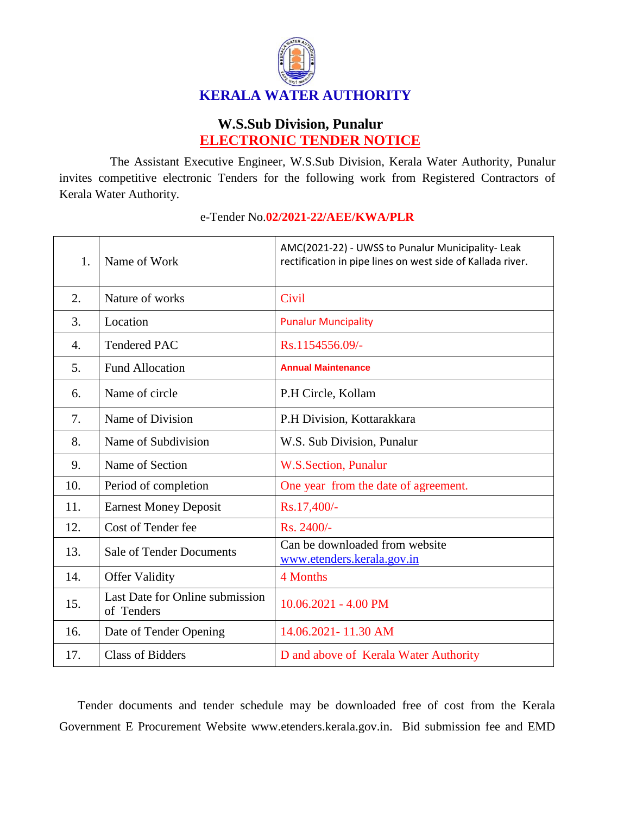

## **W.S.Sub Division, Punalur ELECTRONIC TENDER NOTICE**

The Assistant Executive Engineer, W.S.Sub Division, Kerala Water Authority, Punalur invites competitive electronic Tenders for the following work from Registered Contractors of Kerala Water Authority.

| 1.  | Name of Work                                  | AMC(2021-22) - UWSS to Punalur Municipality- Leak<br>rectification in pipe lines on west side of Kallada river. |
|-----|-----------------------------------------------|-----------------------------------------------------------------------------------------------------------------|
| 2.  | Nature of works                               | Civil                                                                                                           |
| 3.  | Location                                      | <b>Punalur Muncipality</b>                                                                                      |
| 4.  | <b>Tendered PAC</b>                           | Rs.1154556.09/-                                                                                                 |
| 5.  | <b>Fund Allocation</b>                        | <b>Annual Maintenance</b>                                                                                       |
| 6.  | Name of circle                                | P.H Circle, Kollam                                                                                              |
| 7.  | Name of Division                              | P.H Division, Kottarakkara                                                                                      |
| 8.  | Name of Subdivision                           | W.S. Sub Division, Punalur                                                                                      |
| 9.  | Name of Section                               | W.S.Section, Punalur                                                                                            |
| 10. | Period of completion                          | One year from the date of agreement.                                                                            |
| 11. | <b>Earnest Money Deposit</b>                  | Rs.17,400/-                                                                                                     |
| 12. | Cost of Tender fee                            | Rs. 2400/-                                                                                                      |
| 13. | <b>Sale of Tender Documents</b>               | Can be downloaded from website<br>www.etenders.kerala.gov.in                                                    |
| 14. | <b>Offer Validity</b>                         | 4 Months                                                                                                        |
| 15. | Last Date for Online submission<br>of Tenders | 10.06.2021 - 4.00 PM                                                                                            |
| 16. | Date of Tender Opening                        | 14.06.2021-11.30 AM                                                                                             |
| 17. | <b>Class of Bidders</b>                       | D and above of Kerala Water Authority                                                                           |

## e-Tender No.**02/2021-22/AEE/KWA/PLR**

Tender documents and tender schedule may be downloaded free of cost from the Kerala Government E Procurement Website www.etenders.kerala.gov.in. Bid submission fee and EMD